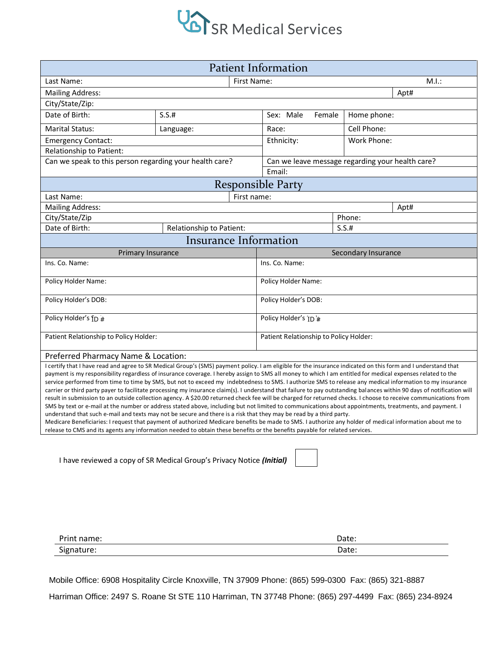

| Patient Information                                                                                                                                                                                                                                                                                                                                                                                                                                                                                                                                                                                                                                                                                                                                                                                                                                                                                                                                                                                                                                                                                                                                                                                                                                                                                                                                                                                               |                              |             |                                                  |  |                     |       |
|-------------------------------------------------------------------------------------------------------------------------------------------------------------------------------------------------------------------------------------------------------------------------------------------------------------------------------------------------------------------------------------------------------------------------------------------------------------------------------------------------------------------------------------------------------------------------------------------------------------------------------------------------------------------------------------------------------------------------------------------------------------------------------------------------------------------------------------------------------------------------------------------------------------------------------------------------------------------------------------------------------------------------------------------------------------------------------------------------------------------------------------------------------------------------------------------------------------------------------------------------------------------------------------------------------------------------------------------------------------------------------------------------------------------|------------------------------|-------------|--------------------------------------------------|--|---------------------|-------|
| Last Name:                                                                                                                                                                                                                                                                                                                                                                                                                                                                                                                                                                                                                                                                                                                                                                                                                                                                                                                                                                                                                                                                                                                                                                                                                                                                                                                                                                                                        |                              | First Name: |                                                  |  |                     | M.I.: |
| <b>Mailing Address:</b>                                                                                                                                                                                                                                                                                                                                                                                                                                                                                                                                                                                                                                                                                                                                                                                                                                                                                                                                                                                                                                                                                                                                                                                                                                                                                                                                                                                           |                              |             |                                                  |  |                     | Apt#  |
| City/State/Zip:                                                                                                                                                                                                                                                                                                                                                                                                                                                                                                                                                                                                                                                                                                                                                                                                                                                                                                                                                                                                                                                                                                                                                                                                                                                                                                                                                                                                   |                              |             |                                                  |  |                     |       |
| Date of Birth:                                                                                                                                                                                                                                                                                                                                                                                                                                                                                                                                                                                                                                                                                                                                                                                                                                                                                                                                                                                                                                                                                                                                                                                                                                                                                                                                                                                                    | S.S.#                        |             | Sex: Male<br>Female                              |  | Home phone:         |       |
| <b>Marital Status:</b>                                                                                                                                                                                                                                                                                                                                                                                                                                                                                                                                                                                                                                                                                                                                                                                                                                                                                                                                                                                                                                                                                                                                                                                                                                                                                                                                                                                            | Language:                    |             | Race:                                            |  | Cell Phone:         |       |
| <b>Emergency Contact:</b>                                                                                                                                                                                                                                                                                                                                                                                                                                                                                                                                                                                                                                                                                                                                                                                                                                                                                                                                                                                                                                                                                                                                                                                                                                                                                                                                                                                         |                              |             | Ethnicity:                                       |  | Work Phone:         |       |
| Relationship to Patient:                                                                                                                                                                                                                                                                                                                                                                                                                                                                                                                                                                                                                                                                                                                                                                                                                                                                                                                                                                                                                                                                                                                                                                                                                                                                                                                                                                                          |                              |             |                                                  |  |                     |       |
| Can we speak to this person regarding your health care?                                                                                                                                                                                                                                                                                                                                                                                                                                                                                                                                                                                                                                                                                                                                                                                                                                                                                                                                                                                                                                                                                                                                                                                                                                                                                                                                                           |                              |             | Can we leave message regarding your health care? |  |                     |       |
|                                                                                                                                                                                                                                                                                                                                                                                                                                                                                                                                                                                                                                                                                                                                                                                                                                                                                                                                                                                                                                                                                                                                                                                                                                                                                                                                                                                                                   |                              |             | Email:                                           |  |                     |       |
|                                                                                                                                                                                                                                                                                                                                                                                                                                                                                                                                                                                                                                                                                                                                                                                                                                                                                                                                                                                                                                                                                                                                                                                                                                                                                                                                                                                                                   |                              |             | <b>Responsible Party</b>                         |  |                     |       |
| Last Name:                                                                                                                                                                                                                                                                                                                                                                                                                                                                                                                                                                                                                                                                                                                                                                                                                                                                                                                                                                                                                                                                                                                                                                                                                                                                                                                                                                                                        |                              | First name: |                                                  |  |                     |       |
| <b>Mailing Address:</b>                                                                                                                                                                                                                                                                                                                                                                                                                                                                                                                                                                                                                                                                                                                                                                                                                                                                                                                                                                                                                                                                                                                                                                                                                                                                                                                                                                                           |                              |             |                                                  |  |                     | Apt#  |
| City/State/Zip                                                                                                                                                                                                                                                                                                                                                                                                                                                                                                                                                                                                                                                                                                                                                                                                                                                                                                                                                                                                                                                                                                                                                                                                                                                                                                                                                                                                    |                              |             |                                                  |  | Phone:              |       |
| Date of Birth:                                                                                                                                                                                                                                                                                                                                                                                                                                                                                                                                                                                                                                                                                                                                                                                                                                                                                                                                                                                                                                                                                                                                                                                                                                                                                                                                                                                                    | Relationship to Patient:     |             |                                                  |  | $S.S.$ #            |       |
|                                                                                                                                                                                                                                                                                                                                                                                                                                                                                                                                                                                                                                                                                                                                                                                                                                                                                                                                                                                                                                                                                                                                                                                                                                                                                                                                                                                                                   | <b>Insurance Information</b> |             |                                                  |  |                     |       |
| Primary Insurance                                                                                                                                                                                                                                                                                                                                                                                                                                                                                                                                                                                                                                                                                                                                                                                                                                                                                                                                                                                                                                                                                                                                                                                                                                                                                                                                                                                                 |                              |             |                                                  |  | Secondary Insurance |       |
| Ins. Co. Name:                                                                                                                                                                                                                                                                                                                                                                                                                                                                                                                                                                                                                                                                                                                                                                                                                                                                                                                                                                                                                                                                                                                                                                                                                                                                                                                                                                                                    |                              |             | Ins. Co. Name:                                   |  |                     |       |
| Policy Holder Name:                                                                                                                                                                                                                                                                                                                                                                                                                                                                                                                                                                                                                                                                                                                                                                                                                                                                                                                                                                                                                                                                                                                                                                                                                                                                                                                                                                                               |                              |             | Policy Holder Name:                              |  |                     |       |
| Policy Holder's DOB:                                                                                                                                                                                                                                                                                                                                                                                                                                                                                                                                                                                                                                                                                                                                                                                                                                                                                                                                                                                                                                                                                                                                                                                                                                                                                                                                                                                              |                              |             | Policy Holder's DOB:                             |  |                     |       |
| Policy Holder's [D #                                                                                                                                                                                                                                                                                                                                                                                                                                                                                                                                                                                                                                                                                                                                                                                                                                                                                                                                                                                                                                                                                                                                                                                                                                                                                                                                                                                              |                              |             | Policy Holder's ID #                             |  |                     |       |
| Patient Relationship to Policy Holder:                                                                                                                                                                                                                                                                                                                                                                                                                                                                                                                                                                                                                                                                                                                                                                                                                                                                                                                                                                                                                                                                                                                                                                                                                                                                                                                                                                            |                              |             | Patient Relationship to Policy Holder:           |  |                     |       |
| Preferred Pharmacy Name & Location:                                                                                                                                                                                                                                                                                                                                                                                                                                                                                                                                                                                                                                                                                                                                                                                                                                                                                                                                                                                                                                                                                                                                                                                                                                                                                                                                                                               |                              |             |                                                  |  |                     |       |
| I certify that I have read and agree to SR Medical Group's (SMS) payment policy. I am eligible for the insurance indicated on this form and I understand that<br>payment is my responsibility regardless of insurance coverage. I hereby assign to SMS all money to which I am entitled for medical expenses related to the<br>service performed from time to time by SMS, but not to exceed my indebtedness to SMS. I authorize SMS to release any medical information to my insurance<br>carrier or third party payer to facilitate processing my insurance claim(s). I understand that failure to pay outstanding balances within 90 days of notification will<br>result in submission to an outside collection agency. A \$20.00 returned check fee will be charged for returned checks. I choose to receive communications from<br>SMS by text or e-mail at the number or address stated above, including but not limited to communications about appointments, treatments, and payment. I<br>understand that such e-mail and texts may not be secure and there is a risk that they may be read by a third party.<br>Medicare Beneficiaries: I request that payment of authorized Medicare benefits be made to SMS. I authorize any holder of medical information about me to<br>release to CMS and its agents any information needed to obtain these benefits or the benefits payable for related services. |                              |             |                                                  |  |                     |       |
| I have reviewed a copy of SR Medical Group's Privacy Notice (Initial)                                                                                                                                                                                                                                                                                                                                                                                                                                                                                                                                                                                                                                                                                                                                                                                                                                                                                                                                                                                                                                                                                                                                                                                                                                                                                                                                             |                              |             |                                                  |  |                     |       |
| Print name:                                                                                                                                                                                                                                                                                                                                                                                                                                                                                                                                                                                                                                                                                                                                                                                                                                                                                                                                                                                                                                                                                                                                                                                                                                                                                                                                                                                                       |                              |             |                                                  |  | Date:               |       |
| Signature:                                                                                                                                                                                                                                                                                                                                                                                                                                                                                                                                                                                                                                                                                                                                                                                                                                                                                                                                                                                                                                                                                                                                                                                                                                                                                                                                                                                                        |                              |             |                                                  |  | Date:               |       |

Mobile Office: 6908 Hospitality Circle Knoxville, TN 37909 Phone: (865) 599-0300 Fax: (865) 321-8887 Harriman Office: 2497 S. Roane St STE 110 Harriman, TN 37748 Phone: (865) 297-4499 Fax: (865) 234-8924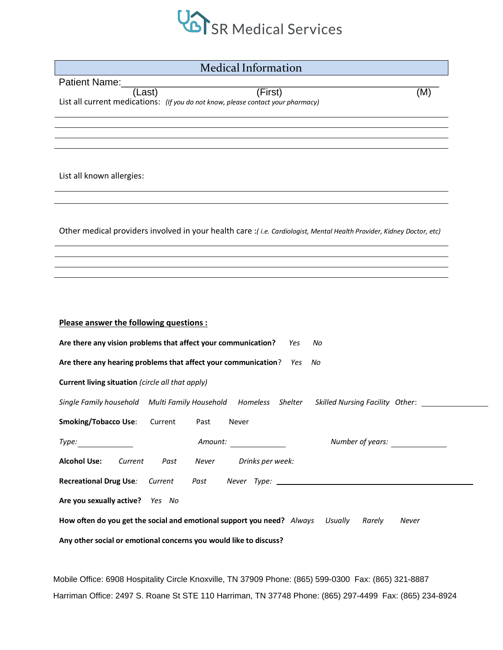

| <b>Medical Information</b>                                                                                            |  |  |  |
|-----------------------------------------------------------------------------------------------------------------------|--|--|--|
| Patient Name:                                                                                                         |  |  |  |
| (First)<br>(Last)<br>(M)<br>List all current medications: (If you do not know, please contact your pharmacy)          |  |  |  |
|                                                                                                                       |  |  |  |
|                                                                                                                       |  |  |  |
|                                                                                                                       |  |  |  |
|                                                                                                                       |  |  |  |
|                                                                                                                       |  |  |  |
| List all known allergies:                                                                                             |  |  |  |
|                                                                                                                       |  |  |  |
|                                                                                                                       |  |  |  |
|                                                                                                                       |  |  |  |
| Other medical providers involved in your health care :(i.e. Cardiologist, Mental Health Provider, Kidney Doctor, etc) |  |  |  |
|                                                                                                                       |  |  |  |
|                                                                                                                       |  |  |  |
|                                                                                                                       |  |  |  |
|                                                                                                                       |  |  |  |
|                                                                                                                       |  |  |  |
| Please answer the following questions :                                                                               |  |  |  |
| Are there any vision problems that affect your communication?<br>Yes<br>No.                                           |  |  |  |
|                                                                                                                       |  |  |  |
| Are there any hearing problems that affect your communication?<br>Yes<br>No                                           |  |  |  |
| Current living situation (circle all that apply)                                                                      |  |  |  |
|                                                                                                                       |  |  |  |
| Single Family household Multi Family Household Homeless Shelter<br>Skilled Nursing Facility Other: ____               |  |  |  |
| <b>Smoking/Tobacco Use:</b><br>Current<br>Past<br>Never                                                               |  |  |  |
| Number of years:<br>Amount:<br>Type: Type:                                                                            |  |  |  |
| Alcohol Use: Current<br>Drinks per week:<br>Past<br>Never                                                             |  |  |  |
| <b>Recreational Drug Use:</b><br>Current<br>Past<br>Never Type: _                                                     |  |  |  |

**Are you sexually active?** *Yes No*

**How often do you get the social and emotional support you need?** *Always Usually Rarely Never* 

**Any other social or emotional concerns you would like to discuss?** 

Mobile Office: 6908 Hospitality Circle Knoxville, TN 37909 Phone: (865) 599-0300 Fax: (865) 321-8887 Harriman Office: 2497 S. Roane St STE 110 Harriman, TN 37748 Phone: (865) 297-4499 Fax: (865) 234-8924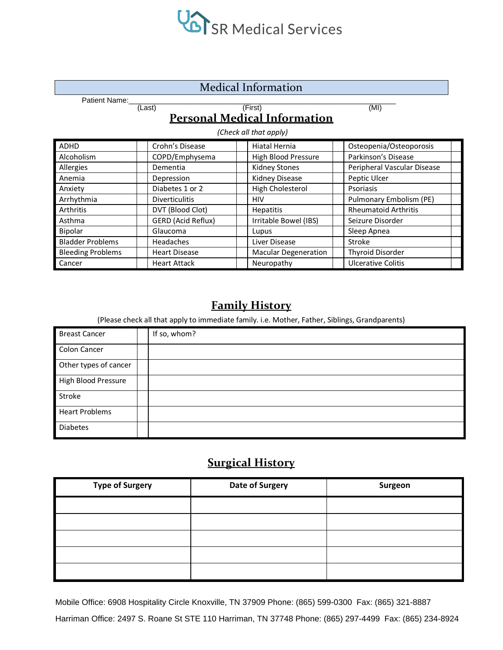

| <b>Medical Information</b> |                       |                                     |                             |  |  |
|----------------------------|-----------------------|-------------------------------------|-----------------------------|--|--|
| Patient Name:              |                       |                                     |                             |  |  |
|                            | (Last)                | (First)                             | (MI)                        |  |  |
|                            |                       | <b>Personal Medical Information</b> |                             |  |  |
| (Check all that apply)     |                       |                                     |                             |  |  |
| <b>ADHD</b>                | Crohn's Disease       | <b>Hiatal Hernia</b>                | Osteopenia/Osteoporosis     |  |  |
| Alcoholism                 | COPD/Emphysema        | High Blood Pressure                 | Parkinson's Disease         |  |  |
| Allergies                  | Dementia              | <b>Kidney Stones</b>                | Peripheral Vascular Disease |  |  |
| Anemia                     | Depression            | Kidney Disease                      | Peptic Ulcer                |  |  |
| Anxiety                    | Diabetes 1 or 2       | High Cholesterol                    | Psoriasis                   |  |  |
| Arrhythmia                 | <b>Diverticulitis</b> | <b>HIV</b>                          | Pulmonary Embolism (PE)     |  |  |
| Arthritis                  | DVT (Blood Clot)      | <b>Hepatitis</b>                    | <b>Rheumatoid Arthritis</b> |  |  |
| Asthma                     | GERD (Acid Reflux)    | Irritable Bowel (IBS)               | Seizure Disorder            |  |  |
| <b>Bipolar</b>             | Glaucoma              | Lupus                               | Sleep Apnea                 |  |  |
| <b>Bladder Problems</b>    | <b>Headaches</b>      | Liver Disease                       | Stroke                      |  |  |
| <b>Bleeding Problems</b>   | <b>Heart Disease</b>  | <b>Macular Degeneration</b>         | <b>Thyroid Disorder</b>     |  |  |
| Cancer                     | <b>Heart Attack</b>   | Neuropathy                          | <b>Ulcerative Colitis</b>   |  |  |

## **Family History**

(Please check all that apply to immediate family. i.e. Mother, Father, Siblings, Grandparents)

| <b>Breast Cancer</b>  | If so, whom? |
|-----------------------|--------------|
| Colon Cancer          |              |
| Other types of cancer |              |
| High Blood Pressure   |              |
| Stroke                |              |
| <b>Heart Problems</b> |              |
| <b>Diabetes</b>       |              |

# **Surgical History**

| <b>Type of Surgery</b> | <b>Date of Surgery</b> | Surgeon |
|------------------------|------------------------|---------|
|                        |                        |         |
|                        |                        |         |
|                        |                        |         |
|                        |                        |         |
|                        |                        |         |

Mobile Office: 6908 Hospitality Circle Knoxville, TN 37909 Phone: (865) 599-0300 Fax: (865) 321-8887

Harriman Office: 2497 S. Roane St STE 110 Harriman, TN 37748 Phone: (865) 297-4499 Fax: (865) 234-8924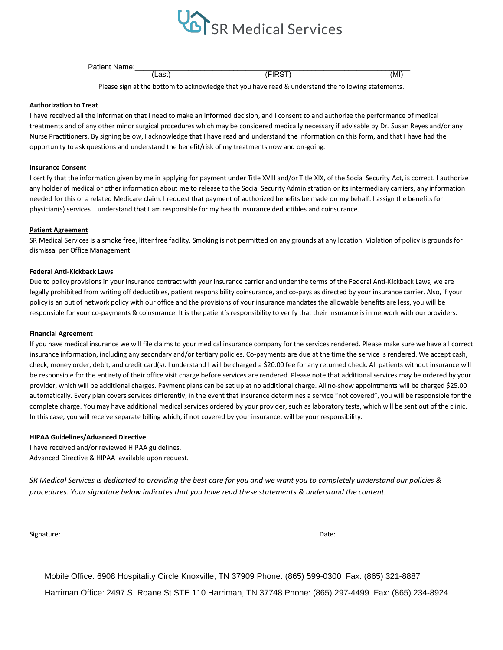

Patient Name:\_\_\_\_\_\_\_\_\_\_\_\_\_\_\_\_\_\_\_\_\_\_\_\_\_\_\_\_\_\_\_\_\_\_\_\_\_\_\_\_\_\_\_\_\_\_\_\_\_\_\_\_\_\_\_\_\_\_\_\_\_\_\_\_\_\_\_

(Last) (FIRST) (MI)

Please sign at the bottom to acknowledge that you have read & understand the following statements.

#### **Authorization to Treat**

I have received all the information that I need to make an informed decision, and I consent to and authorize the performance of medical treatments and of any other minor surgical procedures which may be considered medically necessary if advisable by Dr. Susan Reyes and/or any Nurse Practitioners. By signing below, I acknowledge that I have read and understand the information on this form, and that I have had the opportunity to ask questions and understand the benefit/risk of my treatments now and on-going.

#### **Insurance Consent**

I certify that the information given by me in applying for payment under Title XVlll and/or Title XlX, of the Social Security Act, is correct. I authorize any holder of medical or other information about me to release to the Social Security Administration or its intermediary carriers, any information needed for this or a related Medicare claim. I request that payment of authorized benefits be made on my behalf. I assign the benefits for physician(s) services. I understand that I am responsible for my health insurance deductibles and coinsurance.

#### **Patient Agreement**

SR Medical Services is a smoke free, litter free facility. Smoking is not permitted on any grounds at any location. Violation of policy is grounds for dismissal per Office Management.

#### **Federal Anti-Kickback Laws**

Due to policy provisions in your insurance contract with your insurance carrier and under the terms of the Federal Anti-Kickback Laws, we are legally prohibited from writing off deductibles, patient responsibility coinsurance, and co-pays as directed by your insurance carrier. Also, if your policy is an out of network policy with our office and the provisions of your insurance mandates the allowable benefits are less, you will be responsible for your co-payments & coinsurance. It is the patient's responsibility to verify that their insurance is in network with our providers.

#### **Financial Agreement**

If you have medical insurance we will file claims to your medical insurance company for the services rendered. Please make sure we have all correct insurance information, including any secondary and/or tertiary policies. Co-payments are due at the time the service is rendered. We accept cash, check, money order, debit, and credit card(s). I understand I will be charged a \$20.00 fee for any returned check. All patients without insurance will be responsible for the entirety of their office visit charge before services are rendered. Please note that additional services may be ordered by your provider, which will be additional charges. Payment plans can be set up at no additional charge. All no-show appointments will be charged \$25.00 automatically. Every plan covers services differently, in the event that insurance determines a service "not covered", you will be responsible for the complete charge. You may have additional medical services ordered by your provider, such as laboratory tests, which will be sent out of the clinic. In this case, you will receive separate billing which, if not covered by your insurance, will be your responsibility.

#### **HIPAA Guidelines/Advanced Directive**

I have received and/or reviewed HIPAA guidelines. Advanced Directive & HIPAA available upon request.

*SR Medical Services is dedicated to providing the best care for you and we want you to completely understand our policies & procedures. Your signature below indicates that you have read these statements & understand the content.* 

Signature: Date:

Mobile Office: 6908 Hospitality Circle Knoxville, TN 37909 Phone: (865) 599-0300 Fax: (865) 321-8887 Harriman Office: 2497 S. Roane St STE 110 Harriman, TN 37748 Phone: (865) 297-4499 Fax: (865) 234-8924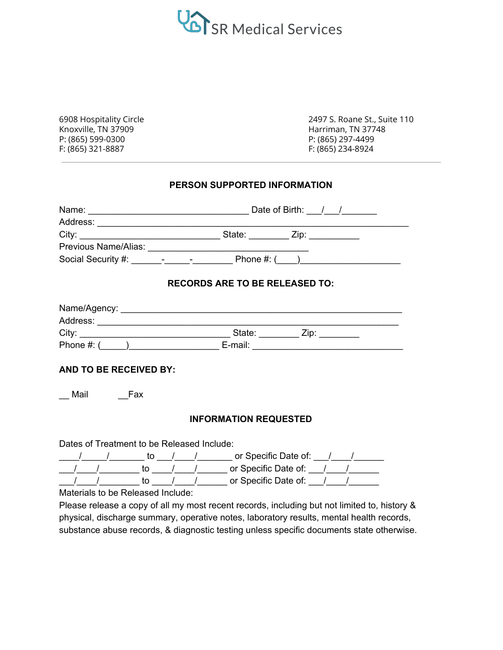

6908 Hospitality Circle Knoxville, TN 37909 P: (865) 599-0300 F: (865) 321-8887

2497 S. Roane St., Suite 110 Harriman, TN 37748 P: (865) 297-4499 F: (865) 234-8924

### PERSON SUPPORTED INFORMATION

|                                            | <b>RECORDS ARE TO BE RELEASED TO:</b> |  |  |  |  |
|--------------------------------------------|---------------------------------------|--|--|--|--|
|                                            |                                       |  |  |  |  |
|                                            |                                       |  |  |  |  |
|                                            |                                       |  |  |  |  |
|                                            |                                       |  |  |  |  |
| AND TO BE RECEIVED BY:                     |                                       |  |  |  |  |
| __ Mail ____Fax                            |                                       |  |  |  |  |
|                                            | <b>INFORMATION REQUESTED</b>          |  |  |  |  |
| Dates of Treatment to be Released Include: |                                       |  |  |  |  |

|  |  | or Specific Date of: |
|--|--|----------------------|
|  |  | or Specific Date of: |
|  |  | or Specific Date of: |

Materials to be Released Include:

Please release a copy of all my most recent records, including but not limited to, history & physical, discharge summary, operative notes, laboratory results, mental health records, substance abuse records, & diagnostic testing unless specific documents state otherwise.